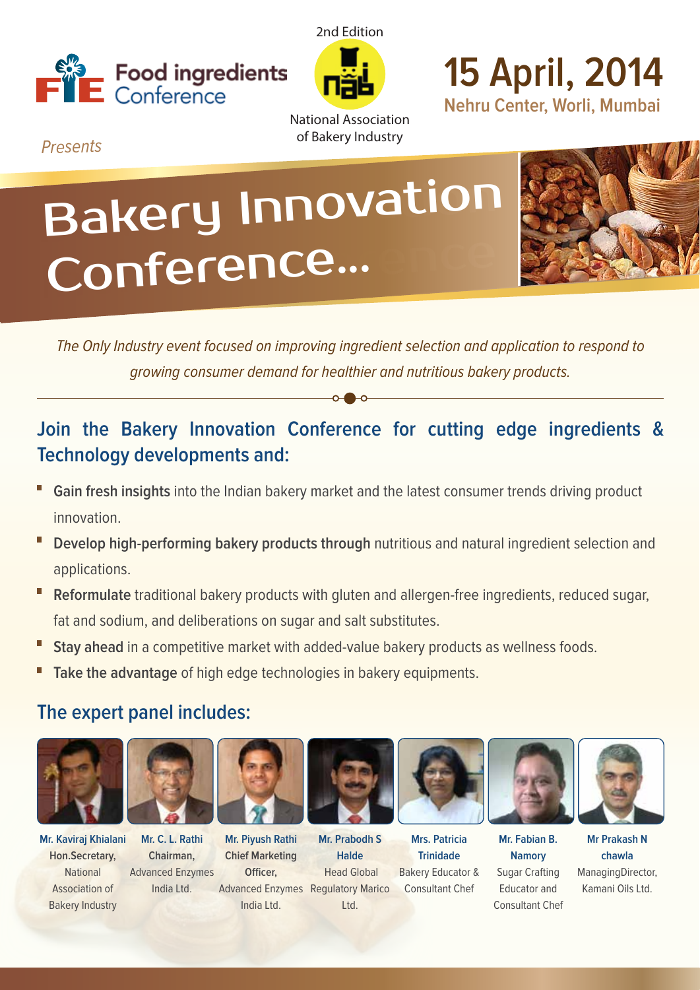



**15 April, 2014 Nehru Center, Worli, Mumbai**

Presents

National Association of Bakery Industry

# Bakery Innovation Conference...



The Only Industry event focused on improving ingredient selection and application to respond to growing consumer demand for healthier and nutritious bakery products.

# **Join the Bakery Innovation Conference for cutting edge ingredients & Technology developments and:**

- **Gain fresh insights** into the Indian bakery market and the latest consumer trends driving product innovation.
- **Develop high-performing bakery products through** nutritious and natural ingredient selection and applications.
- **Reformulate** traditional bakery products with gluten and allergen-free ingredients, reduced sugar, fat and sodium, and deliberations on sugar and salt substitutes.
- **Stay ahead** in a competitive market with added-value bakery products as wellness foods.
- **Take the advantage** of high edge technologies in bakery equipments.

## **The expert panel includes:**



**Mr. Kaviraj Khialani Hon.Secretary,**  National Association of Bakery Industry



**Mr. Piyush Rathi Chief Marketing Officer.** India Ltd. **Mr. C. L. Rathi Chairman,** Advanced Enzymes India Ltd.



Advanced Enzymes Regulatory Marico **Mr. Prabodh S Halde** Head Global Ltd.



**Mrs. Patricia Trinidade** Bakery Educator & Consultant Chef



**Mr. Fabian B. Namory** Sugar Crafting Educator and Consultant Chef



**Mr Prakash N chawla** ManagingDirector, Kamani Oils Ltd.